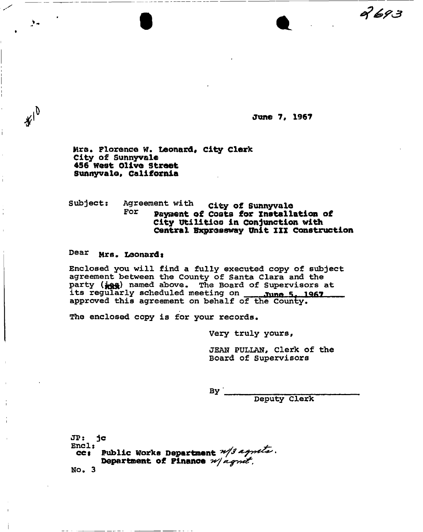9693

**June 7, 1967** 

Mrs. Florence W. **Leonard, city Clerk**  City of Sunnyvale **456 west Olive Street Sunnyvale, California** 

**Subject:** Agreement with city of Sunnyvale<br>**FOI Davaget of Coate for Install** Payment of Costs for Installation of **City Utilities in Conjunction with**  Central Expressway Unit III Construction

## Dear Mrs. Leonard:

 $\mathbf{F}$ 

 $*10$ 

 $\mathbf{L}$ 

**Enclosed you will find a fully executed copy of subject agreement between the County of Santa Clara and the**  party ( $ig$ ) named above. The Board of Supervisors at **its regularly scheduled meeting on ^n o i, iqr7 approved this agreement on behalf of the County.** 

**tfhe enclosed copy is for your records.** 

**Very truly yours,** 

**JEAN PULLAN, Clerk of the Board of Supervisors** 

 $By$ 

**Deputy Clerk** 

JP: jc **cc: Public Works Department**  $\frac{\mathcal{U}}{\mathcal{J}}$  **4 Department of Finance**  No. 3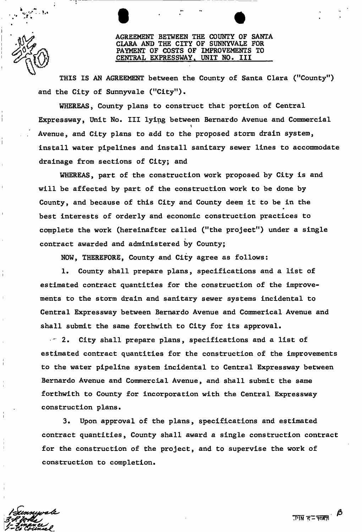AGREEMENT BETWEEN THE COUNTY OF SANTA CLARA AND THE CITY OF SUNNYVALE FOR PAYMENT OF COSTS OF IMPROVEMENTS TO<br>CENTRAL EXPRESSWAY, UNIT NO. III CENTRAL EXPRESSWAY,

THIS IS AN AGREEMENT between the County of Santa Clara ("County") and the City of Sunnyvale ("City"),

WHEREAS, County plans to construct that portion of Central Expressway, Unit No. Ill lying between Bernardo Avenue and Commercial Avenue, and City plans to add to the proposed storm drain system, install water pipelines and install sanitary sewer lines to accommodate drainage from sections of City; and

WHEREAS, part of the construction work proposed by City is and will be affected by part of the construction work to be done by County, and because of this City and County deem it to be in the best interests of orderly and economic construction practices to complete the work (hereinafter called ("the project") under a single contract awarded and administered by County;

NOW, THEREFORE, County and City agree as follows:

1. County shall prepare plans, specifications and a list of estimated contract quantities for the construction of the improvements to the storm drain and sanitary sewer systems incidental to Central Expressway between Bernardo Avenue and Commerical Avenue and shall submit the same forthwith to City for its approval.

" 2. City shall prepare plans, specifications and a list of estimated contract quantities for the construction of the improvements to the water pipeline system incidental to Central Expressway between Bernardo Avenue and Commercial Avenue, and shall submit the same forthwith to County for incorporation with the Central Expressway construction plans.

3. Upon approval of the plans, specifications and estimated contract quantities, County shall award a single construction contract for the construction of the project, and to supervise the work of construction to completion.

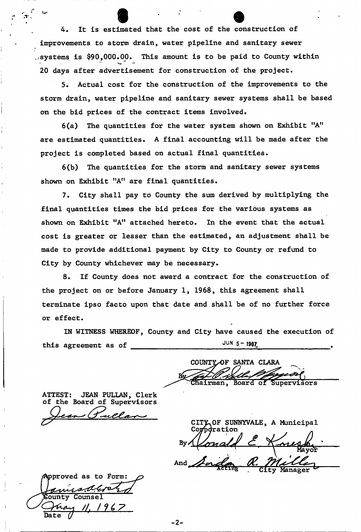4. It is estimated that the cost of the construction of improvements to storm drain, water pipeline and sanitary sewer  $t$  systems is \$90,000.00. This amount is to be paid to County within 20 days after advertisement for construction of the project.

5. Actual cost for the construction of the improvements to the storm drain, water pipeline and sanitary sewer systems shall be based on the bid prices of the contract items involved.

 $6(a)$  The quantities for the water system shown on Exhibit "A" are estimated quantities. A final accounting will be made after the project is completed based on actual final quantities.

6(b) The quantities for the storm and sanitary sewer systems shown on Exhibit "A" are final quantities.

7. City shall pay to County the sum derived by multiplying the final quantities times the bid prices for the various systems as shown on Exhibit "A" attached hereto. In the event that the actual cost is greater or lesser than the estimated, an adjustment shall be made to provide additional payment by City to County or refund to City by County whichever may be necessary.

8. If County does not award a contract for the construction of the project on or before January 1, 1968, this agreement shall terminate ipso facto upon that date and shall be of no further force or effect.

IN WITNESS WHEREOF, County and City have caused the execution of this agreement as of JUN  $5 - 1987$ 

COUNTY OF SANTA CLARA Chairman, Board of Supervisors

ATTEST: JEAN PULLAN, Clerk of the Board of Supervisors

*n* 

pproved as to Form: incoderel County Counsel 1967  $\mathcal{U}$ 

CITY OF SUNNYVALE, A Municipal Corpdration

 $-2 -$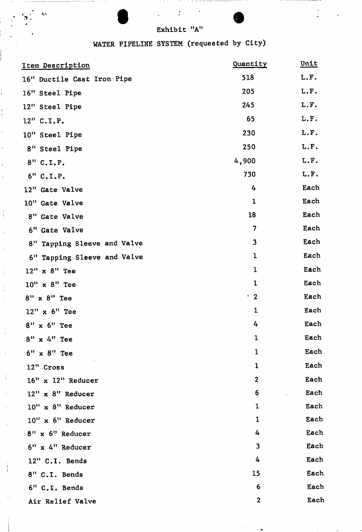»

 $\mathbf{z}$ 

 $\frac{1}{1}$ 

 $\tilde{\mathbf{r}}_i$  .

## WATER PIPELINE SYSTEM (requested by City)

| Item Description            | Quantity     | Unit |
|-----------------------------|--------------|------|
| 16" Ductile Cast Iron Pipe  | 518          | L.F. |
| 16" Steel Pipe              | 205          | L.F. |
| 12" Steel Pipe              | 245          | L.F. |
| 12" C.I.P.                  | 65           | L.F. |
| 10" Steel Pipe              | 230          | L.F. |
| 8" Steel Pipe               | 250          | L.F. |
| 8" C.I.P.                   | 4,900        | L.F. |
| 6" C.L.P.                   | 730          | L.F. |
| 12" Gate Valve              | 4            | Each |
| 10" Gate Valve              | $\mathbf{1}$ | Each |
| 8" Gate Valve               | 18           | Each |
| 6" Gate Valve               | 7            | Each |
| 8" Tapping Sleeve and Valve | $\mathbf{3}$ | Each |
| 6" Tapping Sleeve and Valve | 1            | Each |
| 12" x 8" Tee                | 1            | Each |
| 10" x 8" Tee                | $\mathbf 1$  | Each |
| 8" x 8" Tee                 | $\cdot$ 2    | Each |
| 12" x 6" Tee                | 1            | Each |
| $8"$ x $6"$ Tee             | 4            | Each |
| 8" x 4" Tee                 | 1            | Each |
| $6"$ x $8"$ Tee             | $\mathbf 1$  | Each |
| 12" Cross                   | $\mathbf{1}$ | Each |
| $16"$ x $12"$ Reducer       | $\mathbf{2}$ | Each |
| 12" x 8" Reducer            | 6            | Each |
| 10" x 8" Reducer            | $\mathbf{1}$ | Each |
| 10" x 6" Reducer            | $\mathbf{1}$ | Each |
| 8" x 6" Reducer             | 4            | Each |
| 6" x 4" Reducer             | 3            | Each |
| 12" C.I. Bends              | 4            | Each |
| 8" C.I. Bends               | 15           | Each |
| 6" C.I. Bends               | 6            | Each |
| Air Relief Valve            | $\mathbf{2}$ | Each |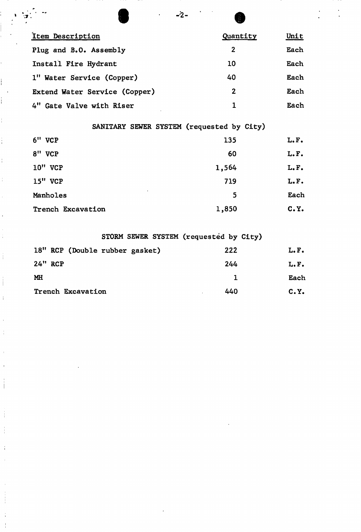| Item Description                          | Quantity     | Unit |
|-------------------------------------------|--------------|------|
| Plug and B.O. Assembly                    | $\mathbf{2}$ | Each |
| Install Fire Hydrant                      | 10           | Each |
| 1" Water Service (Copper)                 | 40           | Each |
| Extend Water Service (Copper)             | $\mathbf{2}$ | Each |
| 4" Gate Valve with Riser                  | 1            | Each |
| SANITARY SEWER SYSTEM (requested by City) |              |      |
| 6" VCP                                    | 135          | L.F. |
| 8" VCP                                    | 60           | L.F. |

Î,

j.

i

 $\frac{1}{4}$ 

 $\frac{1}{4}$ 

 $\frac{1}{4}$ 

 $\frac{1}{4}$ 

 $\frac{1}{4}$ 

 $\frac{1}{4}$ 

 $\frac{1}{2}$ 

 $\frac{1}{4}$ 

 $\bar{1}$ 

 $\frac{1}{4}$ 

 $\bar{1}$ 

 $\bar{1}$ 

 $\begin{array}{c} 1 \\ 1 \\ 1 \end{array}$ 

 $\frac{1}{1}$ 

 $\frac{1}{4}$ 

 $\begin{array}{c} \frac{1}{2} \\ \frac{1}{2} \\ \frac{1}{2} \end{array}$ 

 $\frac{1}{4}$ 

| $10$ " VCP          | 1,564 | L.F.  |
|---------------------|-------|-------|
| 15" VCP             | 719   | L.F.  |
| $\cdot$<br>Manholes | 5     | Each  |
| Trench Excavation   | 1,850 | C. Y. |
|                     |       |       |

|                                | STORM SEWER SYSTEM (requested by City) |       |
|--------------------------------|----------------------------------------|-------|
| 18" RCP (Double rubber gasket) | 222                                    | L.F.  |
| 24" RCP                        | 244                                    | L.F.  |
| <b>MH</b>                      |                                        | Each  |
| Trench Excavation              | 440                                    | C. Y. |

 $\frac{1}{2}$  is the contract of  $\frac{1}{2}$  is the contract of  $\frac{1}{2}$  is the contract of  $\frac{1}{2}$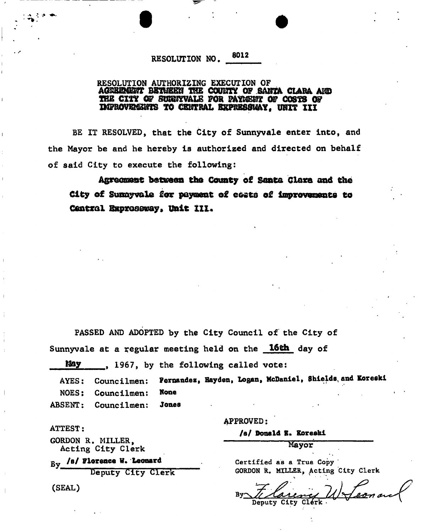## RESOLUTION NO, 3012

## RESOLUTION AUTHORIZING EXECUTION OF AGSSm m BETWEEN THE C0UHK OF SANTA CLARA AHD THE CITY OF SUNNYVALE FOR PATHENT OF COSTS OF XMPB098M3BTS TO CENTRAL EXPEES3UAY, UHXT XII

**• •** 

BE IT RESOLVED, that the City of Sunnyvale enter into, and the Mayor be and he hereby is authorized and directed on behalf of said City to execute the following:

Agreement between the County of Santa Clara and the City of Sunnyvale for payment o£ easts of improvements to Central E&pras8way» unit ill.

PASSED AND ADOPTED by the City Council of the City of Sunnyvale at a regular meeting held on the 16th day of

May 1967, by the following called vote:

AYES: Councilmen: Fernandez, Hayden, Logan, McDaniel, Shields, and Koreski NOES: ABSENT: Councilmen: Councilmen: Hone Jones

ATTEST:

i

GORDON R. MILLER, Acting City Clerk

 $By$  /s/ Florence W. Leonard

Deputy City Clerk

(SEAL)

APPROVED:

/s/ Donald B. Koreski

Mayor

Certified as a True Copy **GORDON R. MILLER, Acting City Clerk** 

 $\mathbf{B}$ y $\infty$ **Deputy City Clérk . . v**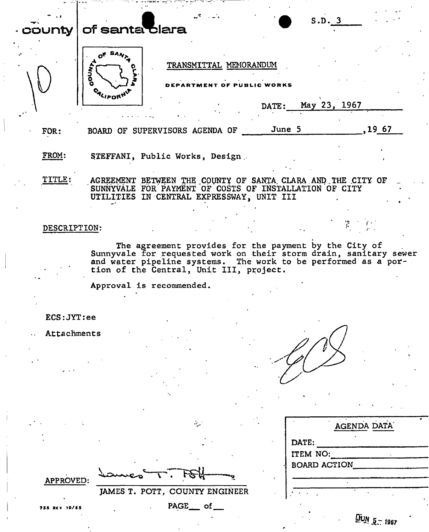| $\texttt{conv}$ |              | of santa clara   |                                                                                                                                                                    |                        |                                         | S.D. 3       |                                                                                                                                     |  |
|-----------------|--------------|------------------|--------------------------------------------------------------------------------------------------------------------------------------------------------------------|------------------------|-----------------------------------------|--------------|-------------------------------------------------------------------------------------------------------------------------------------|--|
|                 | <b>ANOO</b>  | <b>CALIFORNI</b> |                                                                                                                                                                    | TRANSMITTAL MEMORANDUM | <b>ARTMENT OF PUBLIC WORKS</b><br>DATE: | May 23, 1967 |                                                                                                                                     |  |
| FOR:            |              |                  | BOARD OF SUPERVISORS AGENDA OF                                                                                                                                     |                        | June 5                                  |              | 19 67                                                                                                                               |  |
| FROM:           |              |                  | STEFFANI, Public Works, Design                                                                                                                                     |                        |                                         |              |                                                                                                                                     |  |
|                 | TITLE:       |                  | AGREEMENT BETWEEN THE COUNTY OF SANTA CLARA AND THE CITY OF<br>SUNNYVALE FOR PAYMENT OF COSTS OF INSTALLATION OF CITY<br>UTILITIES IN CENTRAL EXPRESSWAY, UNIT III |                        |                                         |              |                                                                                                                                     |  |
|                 | DESCRIPTION: |                  |                                                                                                                                                                    |                        |                                         |              |                                                                                                                                     |  |
|                 |              |                  | The agreement provides for the payment by the City of<br>tion of the Central, Unit III, project.                                                                   |                        |                                         |              | Sunnyvale for requested work on their storm drain, sanitary sewer<br>and water pipeline systems. The work to be performed as a por- |  |

Approval is recommended.

ECS:JYT:ee

**Attachments** 

| AGENDA DATA         |
|---------------------|
| DATE:               |
| ITEM NO:            |
| <b>BOARD ACTION</b> |
|                     |
|                     |
|                     |

**APPROVED:** 

PAGE \_\_ of \_\_

प्रिश्चि

 $\mathcal{L}_{\mathcal{L}}$ 

**JAMES T. POTT, COUNTY ENGINEER** 

Ð

 $Q_{MN}$   $\bar{z}$  = 1967